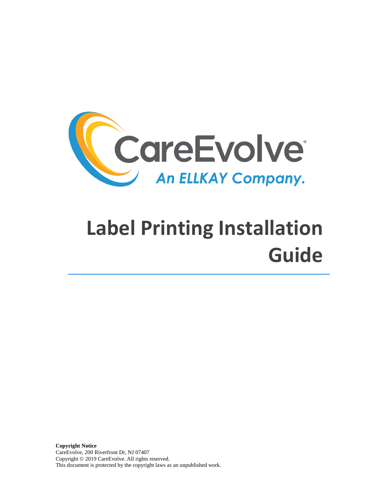

# **Label Printing Installation Guide**

**Copyright Notice**  CareEvolve, 200 Riverfront Dr, NJ 07407 Copyright © 2019 CareEvolve. All rights reserved. This document is protected by the copyright laws as an unpublished work.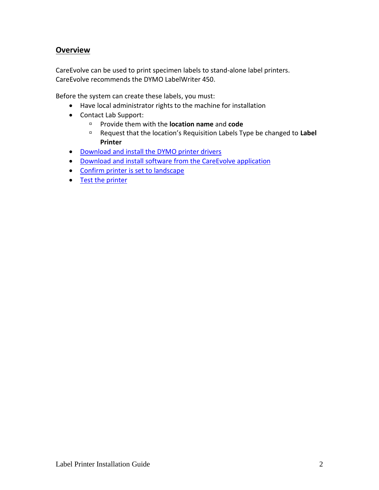#### **Overview**

CareEvolve can be used to print specimen labels to stand-alone label printers. CareEvolve recommends the DYMO LabelWriter 450.

Before the system can create these labels, you must:

- Have local administrator rights to the machine for installation
- Contact Lab Support:
	- Provide them with the **location name** and **code**
	- Request that the location's Requisition Labels Type be changed to **Label Printer**
- [Download and install the DYMO printer drivers](#page-1-0)
- [Download and install software from](#page-2-0) the CareEvolve application
- [Confirm printer is set to landscape](#page-4-0)
- <span id="page-1-0"></span>• Test [the printer](#page-5-0)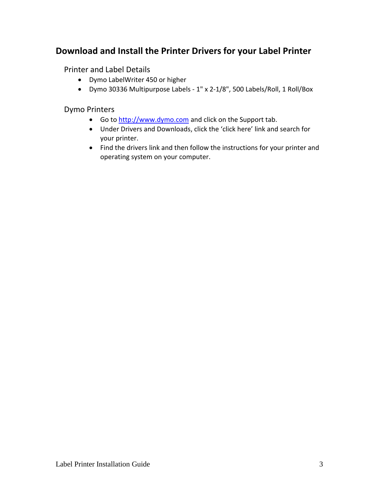## **Download and Install the Printer Drivers for your Label Printer**

Printer and Label Details

- Dymo LabelWriter 450 or higher
- Dymo 30336 Multipurpose Labels 1" x 2-1/8", 500 Labels/Roll, 1 Roll/Box

Dymo Printers

- Go t[o http://www.dymo.com](http://www.dymo.com/) and click on the Support tab.
- Under Drivers and Downloads, click the 'click here' link and search for your printer.
- <span id="page-2-0"></span>• Find the drivers link and then follow the instructions for your printer and operating system on your computer.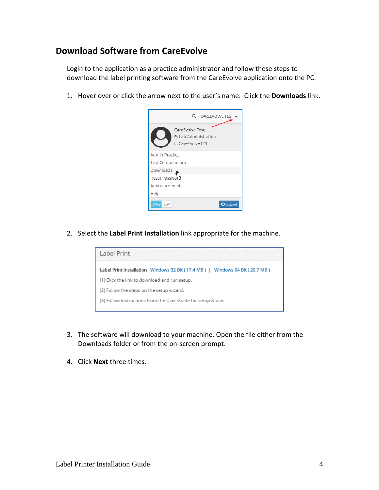#### **Download Software from CareEvolve**

Login to the application as a practice administrator and follow these steps to download the label printing software from the CareEvolve application onto the PC.

1. Hover over or click the arrow next to the user's name. Click the **Downloads** link.



2. Select the **Label Print Installation** link appropriate for the machine.



- 3. The software will download to your machine. Open the file either from the Downloads folder or from the on-screen prompt.
- 4. Click **Next** three times.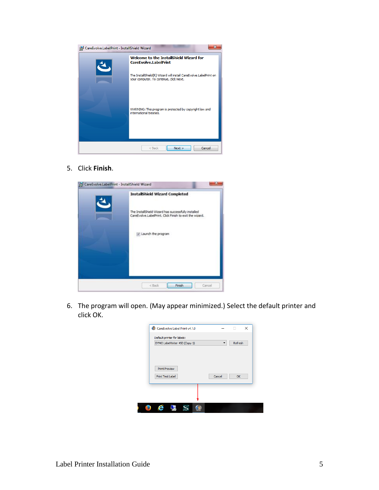

5. Click **Finish**.



<span id="page-4-0"></span>6. The program will open. (May appear minimized.) Select the default printer and click OK.

| Default printer for labels:<br>DYMO LabelWriter 450 (Copy 1) | ▼      | Refresh |
|--------------------------------------------------------------|--------|---------|
|                                                              |        |         |
|                                                              |        |         |
| <b>Print Preview</b>                                         |        |         |
|                                                              | Cancel | OK      |
| Print Test Label                                             |        |         |
|                                                              |        |         |
|                                                              |        |         |